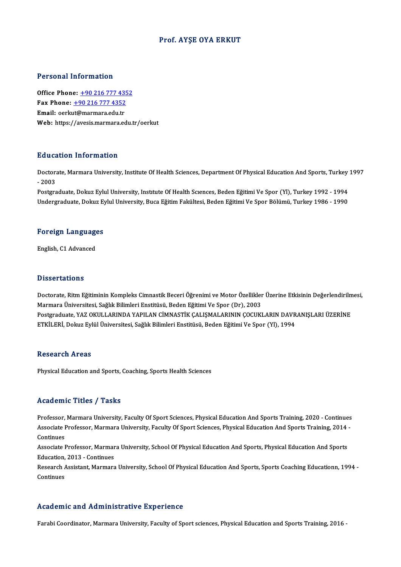## Prof. AYŞE OYA ERKUT

### Personal Information

**Personal Information<br>Office Phone: +90 216 777 4352<br>Fax Phone: +90 216 777 4252** 1 0100111 11101 1111011<br>Office Phone: <u>+90 216 777 4352</u><br>Fmail: eerlut@mermare.edu.tr Office Phone: <u>+90 216 777 43.</u><br>Fax Phone: <u>+90 216 777 4352</u><br>Email: oerk[ut@marmara.edu.tr](tel:+90 216 777 4352) Fax Phone:  $\pm$ 90 216 777 4352<br>Email: oerkut@marmara.edu.tr<br>Web: https://avesis.marmara.edu.tr/oerkut

## Education Information

**Education Information**<br>Doctorate, Marmara University, Institute Of Health Sciences, Department Of Physical Education And Sports, Turkey 1997<br>2003 Ductors<br>Doctors<br>- 2003 Doctorate, Marmara University, Institute Of Health Sciences, Department Of Physical Education And Sports, Turkey<br>- 2003<br>Postgraduate, Dokuz Eylul University, Institute Of Health Sciences, Beden Eğitimi Ve Spor (Yl), Turkey

- 2003<br>Postgraduate, Dokuz Eylul University, Institute Of Health Sciences, Beden Eğitimi Ve Spor (Yl), Turkey 1992 - 1994<br>Undergraduate, Dokuz Eylul University, Buca Eğitim Fakültesi, Beden Eğitimi Ve Spor Bölümü, Turkey 1

# ondergraduate, Dokuz Ey<br>Foreign Languages F<mark>oreign Languag</mark>e<br>English, C1 Advanced

English, C1 Advanced<br>Dissertations

Dissertations<br>Doctorate, Ritm Eğitiminin Kompleks Cimnastik Beceri Öğrenimi ve Motor Özellikler Üzerine Etkisinin Değerlendirilmesi,<br>Marmara Üniversitesi, Sağlık Bilimleri Enstitüsü, Boden Eğitimi Ve Spor (Dr), 2002 Marmara Üniversitesi, Sağlık Bilimleri Enstitüsü, Beden Eğitimi Ve Spor (Dr), 2003 Doctorate, Ritm Eğitiminin Kompleks Cimnastik Beceri Öğrenimi ve Motor Özellikler Üzerine Etkisinin Değerlendirilm<br>Marmara Üniversitesi, Sağlık Bilimleri Enstitüsü, Beden Eğitimi Ve Spor (Dr), 2003<br>Postgraduate, YAZ OKULLA Postgraduate, YAZ OKULLARINDA YAPILAN CİMNASTİK ÇALIŞMALARININ ÇOCUKLARIN DAVRANIŞLARI ÜZERİNE<br>ETKİLERİ, Dokuz Eylül Üniversitesi, Sağlık Bilimleri Enstitüsü, Beden Eğitimi Ve Spor (Yl), 1994

### **Research Areas**

Physical Education and Sports, Coaching, Sports Health Sciences

### Academic Titles / Tasks

Academic Titles / Tasks<br>Professor, Marmara University, Faculty Of Sport Sciences, Physical Education And Sports Training, 2020 - Continues<br>Associate Professor, Marmara University, Faculty Of Sport Sciences, Physical Educat AssociateMice Profes / Profes<br>Professor, Marmara University, Faculty Of Sport Sciences, Physical Education And Sports Training, 2020 - Continues<br>Associate Professor, Marmara University, Faculty Of Sport Sciences, Physical Professor,<br>Associate I<br>Continues<br>Associate I Associate Professor, Marmara University, Faculty Of Sport Sciences, Physical Education And Sports Training, 2014 -<br>Continues<br>Associate Professor, Marmara University, School Of Physical Education And Sports, Physical Educat

Associate Professor, Marmara University, School Of Physical Education And Sports, Physical Education And Sports Associate Professor, Marmara University, School Of Physical Education And Sports, Physical Education And Sports<br>Education, 2013 - Continues<br>Research Assistant, Marmara University, School Of Physical Education And Sports, S

Education,<br>Research *f*<br>Continues

# Academic and Administrative Experience

Farabi Coordinator, Marmara University, Faculty of Sport sciences, Physical Education and Sports Training, 2016 -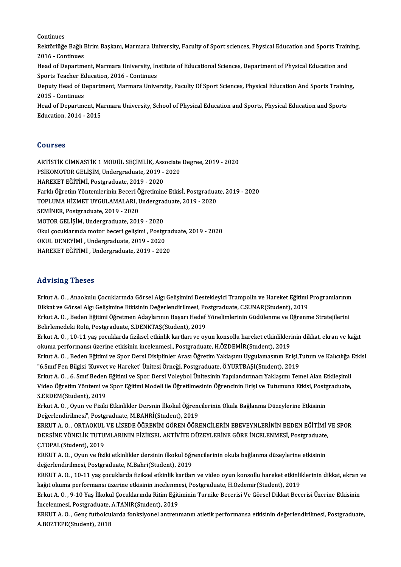Continues

Continues<br>Rektörlüğe Bağlı Birim Başkanı, Marmara University, Faculty of Sport sciences, Physical Education and Sports Training,<br>2016 - Continues Continues<br>Rektörlüğe Bağlı I<br>2016 - Continues<br>Head of Denartme Rektörlüğe Bağlı Birim Başkanı, Marmara University, Faculty of Sport sciences, Physical Education and Sports Train<br>2016 - Continues<br>Head of Department, Marmara University, Institute of Educational Sciences, Department of P 2016 - Continues<br>Head of Department, Marmara University, Institute of Educational Sciences, Department of Physical Education and

Head of Department, Marmara University, Institute of Educational Sciences, Department of Physical Education and<br>Sports Teacher Education, 2016 - Continues<br>Deputy Head of Department, Marmara University, Faculty Of Sport Sci

Sports Teacher Education, 2016 - Continues<br>Deputy Head of Department, Marmara Unive<br>2015 - Continues Deputy Head of Department, Marmara University, Faculty Of Sport Sciences, Physical Education And Sports Trainin<br>2015 - Continues<br>Head of Department, Marmara University, School of Physical Education and Sports, Physical Edu

Head of Department, Marmara University, School of Physical Education and Sports, Physical Education and Sports<br>Education, 2014 - 2015

## Courses

Courses<br>ARTİSTİK CİMNASTİK 1 MODÜL SEÇİMLİK, Associate Degree, 2019 - 2020<br>PSİKOMOTOR CELİSİM Undergraduata 2019, 2020 SSATISSI<br>ARTİSTİK CİMNASTİK 1 MODÜL SEÇİMLİK, Associate<br>PSİKOMOTOR GELİŞİM, Undergraduate, 2019 - 2020<br>HAREKET EĞİTİMİ, Bostaraduate, 2019 - 2020 PSİKOMOTOR GELİŞİM, Undergraduate, 2019 - 2020<br>HAREKET EĞİTİMİ, Postgraduate, 2019 - 2020 FarklıÖğretimYöntemlerininBeceriÖğretimineEtkisİ,Postgraduate,2019 -2020 HAREKET EĞİTİMİ, Postgraduate, 2019 - 2020<br>Farklı Öğretim Yöntemlerinin Beceri Öğretimine Etkisİ, Postgraduat<br>TOPLUMA HİZMET UYGULAMALARI, Undergraduate, 2019 - 2020<br>SEMİNER, Rostgraduate, 2019, 2020 Farklı Öğretim Yöntemlerinin Beceri Ö<br>TOPLUMA HİZMET UYGULAMALARI, I<br>SEMİNER, Postgraduate, 2019 - 2020<br>MOTOP CELİSİM Undergraduate, 201 TOPLUMA HİZMET UYGULAMALARI, Undergrad<br>SEMİNER, Postgraduate, 2019 - 2020<br>MOTOR GELİŞİM, Undergraduate, 2019 - 2020<br>Okul sosuklarında matar basari solisimi. Basts SEMİNER, Postgraduate, 2019 - 2020<br>MOTOR GELİŞİM, Undergraduate, 2019 - 2020<br>Okul çocuklarında motor beceri gelişimi , Postgraduate, 2019 - 2020<br>OKUL DENEVİMİ, Undergraduate, 2019 - 2020 MOTOR GELİŞİM, Undergraduate, 2019 - 2020<br>Okul çocuklarında motor beceri gelişimi , Postgr<br>OKUL DENEYİMİ , Undergraduate, 2019 - 2020<br>HAREKET EĞİTİMİ , Undergraduate, 2019 - 2020 Okul çocuklarında motor beceri gelişimi , Postgrad<br>OKUL DENEYİMİ , Undergraduate, 2019 - 2020<br>HAREKET EĞİTİMİ , Undergraduate, 2019 - 2020 HAREKET EĞİTİMİ , Undergraduate, 2019 - 2020<br>Advising Theses

Advising Theses<br>Erkut A. O. , Anaokulu Çocuklarında Görsel Algı Gelişimini Destekleyici Trampolin ve Hareket Eğitimi Programlarının<br>Pikket ve Görsel Algı Gelişimine Etkişinin Değerlendirilmesi, Bestaradusta G.SUNAP(Student rra v romg "rrosses"<br>Erkut A. O. , Anaokulu Çocuklarında Görsel Algı Gelişimini Destekleyici Trampolin ve Hareket Eğitimi<br>Dikkat ve Görsel Algı Gelişimine Etkisinin Değerlendirilmesi, Postgraduate, C.SUNAR(Student), 2019<br>F Erkut A. O. , Anaokulu Çocuklarında Görsel Algı Gelişimini Destekleyici Trampolin ve Hareket Eğitimi Programlarının<br>Dikkat ve Görsel Algı Gelişimine Etkisinin Değerlendirilmesi, Postgraduate, C.SUNAR(Student), 2019<br>Erkut A Dikkat ve Görsel Algı Gelişimine Etkisinin Değerlendirilmesi, Postgraduate, C.SUNAR(Student), 2019<br>Erkut A. O. , Beden Eğitimi Öğretmen Adaylarının Başarı Hedef Yönelimlerinin Güdülenme ve Öğrenme Stratejilerini<br>Belirlemed Erkut A. O. , Beden Eğitimi Öğretmen Adaylarının Başarı Hedef Yönelimlerinin Güdülenme ve Öğrenme Stratejilerini<br>Belirlemedeki Rolü, Postgraduate, S.DENKTAŞ(Student), 2019<br>Erkut A. O. , 10-11 yaş çocuklarda fiziksel etkinl Belirlemedeki Rolü, Postgraduate, S.DENKTAŞ(Student), 2019<br>Erkut A. O. , 10-11 yaş çocuklarda fiziksel etkinlik kartları ve oyun konsollu hareket etkinlikleri<br>okuma performansı üzerine etkisinin incelenmesi., Postgraduate, Erkut A. O. , 10-11 yaş çocuklarda fiziksel etkinlik kartları ve oyun konsollu hareket etkinliklerinin dikkat, ekran ve kağıt<br>okuma performansı üzerine etkisinin incelenmesi., Postgraduate, H.ÖZDEMİR(Student), 2019<br>Erkut A okuma performansı üzerine etkisinin incelenmesi., Postgraduate, H.ÖZDEMİR(Student), 2019<br>Erkut A. O. , Beden Eğitimi ve Spor Dersi Disiplinler Arası Öğretim Yaklaşımı Uygulamasının Erişi,T<br>"6.Sınıf Fen Bilgisi 'Kuvvet ve H Erkut A. O. , Beden Eğitimi ve Spor Dersi Disiplinler Arası Öğretim Yaklaşımı Uygulamasının Erişi,Tutum ve Kalıcılığa<br>"6.Sınıf Fen Bilgisi 'Kuvvet ve Hareket' Ünitesi Örneği, Postgraduate, Ö.YURTBAŞI(Student), 2019<br>Erkut A "6.Sınıf Fen Bilgisi 'Kuvvet ve Hareket' Ünitesi Örneği, Postgraduate, Ö.YURTBAŞI(Student), 2019<br>Erkut A. O. , 6. Sınıf Beden Eğitimi ve Spor Dersi Voleybol Ünitesinin Yapılandırmacı Yaklaşımı Temel Alan Etkileşimli<br>Video Erkut A. O. , 6. Smif Beden<br>Video Öğretim Yöntemi ve<br>S.ERDEM(Student), 2019<br>Frlat A. O. Oraya ve Fiziki Video Öğretim Yöntemi ve Spor Eğitimi Modeli ile Öğretilmesinin Öğrencinin Erişi ve Tutumuna Etkisi, Postg<br>S.ERDEM(Student), 2019<br>Erkut A. O. , Oyun ve Fiziki Etkinlikler Dersnin İlkokul Öğrencilerinin Okula Bağlanma Düzey S.ERDEM(Student), 2019<br>Erkut A. O. , Oyun ve Fiziki Etkinlikler Dersnin İlkokul Öğrencilerinin Okula Bağlanma Düzeylerine Etkisinin<br>Değerlendirilmesi", Postgraduate, M.BAHRİ(Student), 2019 Erkut A. O. , Oyun ve Fiziki Etkinlikler Dersnin İlkokul Öğrencilerinin Okula Bağlanma Düzeylerine Etkisinin<br>Değerlendirilmesi", Postgraduate, M.BAHRİ(Student), 2019<br>ERKUT A. O. , ORTAOKUL VE LİSEDE ÖĞRENİM GÖREN ÖĞRENCİLE Değerlendirilmesi", Postgraduate, M.BAHRİ(Student), 2019<br>ERKUT A. O. , ORTAOKUL VE LİSEDE ÖĞRENİM GÖREN ÖĞRENCİLERİN EBEVEYNLERİNİN BEDEN EĞİTİMİ '<br>DERSİNE YÖNELİK TUTUMLARININ FİZİKSEL AKTİVİTE DÜZEYLERİNE GÖRE İNCELENMES ERKUT A. O. , ORTAOKUL<br>DERSINE YÖNELIK TUTU<br>Ç.TOPAL(Student), 2019<br>ERKUT A. O., Orun ve Sri DERSİNE YÖNELİK TUTUMLARININ FİZİKSEL AKTİVİTE DÜZEYLERİNE GÖRE İNCELENMESİ, Postgraduate,<br>Ç.TOPAL(Student), 2019<br>ERKUT A. O. , Oyun ve fiziki etkinlikler dersinin ilkokul öğrencilerinin okula bağlanma düzeylerine etkisini değerlendirilmesi, Postgraduate, M.Bahri(Student), 2019 ERKUT A. O. , Oyun ve fiziki etkinlikler dersinin ilkokul öğrencilerinin okula bağlanma düzeylerine etkisinin<br>değerlendirilmesi, Postgraduate, M.Bahri(Student), 2019<br>ERKUT A. O. , 10-11 yaş çocuklarda fiziksel etkinlik kar değerlendirilmesi, Postgraduate, M.Bahri(Student), 2019<br>ERKUT A. O. , 10-11 yaş çocuklarda fiziksel etkinlik kartları ve video oyun konsollu hareket etkinlil<br>kağıt okuma performansı üzerine etkisinin incelenmesi, Postgradu ERKUT A. O. , 10-11 yaş çocuklarda fiziksel etkinlik kartları ve video oyun konsollu hareket etkinliklerinin dikkat, ekran v<br>kağıt okuma performansı üzerine etkisinin incelenmesi, Postgraduate, H.Özdemir(Student), 2019<br>Erk kağıt okuma performansı üzerine etkisinin incelenmesi, Postgraduate, H.Özdemir(Student), 2019<br>Erkut A. O. , 9-10 Yaş İlkokul Çocuklarında Ritim Eğitiminin Turnike Becerisi Ve Görsel Dikkat Becerisi Üzerine Etkisinin ERKUT A. O. , Genç futbolcularda fonksiyonel antrenmanın atletik performansa etkisinin değerlendirilmesi, Postgraduate,<br>A.BOZTEPE(Student), 2018 İncelenmesi, Postgraduate, A.TANIR(Student), 2019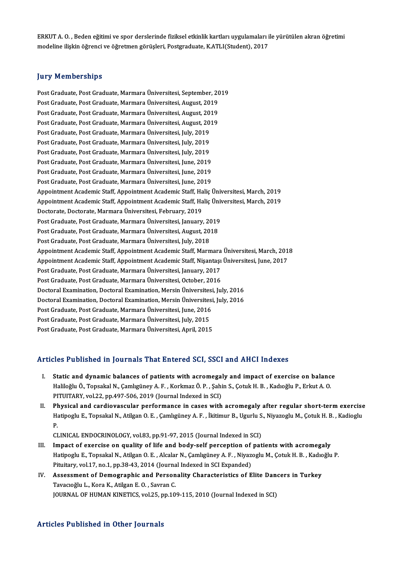ERKUT A. O. , Beden eğitimi ve spor derslerinde fiziksel etkinlik kartları uygulamaları ile yürütülen akran öğretimi<br>madeline ilişkin öğrengi ve öğretmen görüsleri, Bestareduste, KATI ((Student), 2017 ERKUT A. O. , Beden eğitimi ve spor derslerinde fiziksel etkinlik kartları uygulamaları i<br>modeline ilişkin öğrenci ve öğretmen görüşleri, Postgraduate, K.ATLI(Student), 2017 modeline ilişkin öğrenci ve öğretmen görüşleri, Postgraduate, K.ATLI(Student), 2017<br>Jury Memberships

<mark>Jury Memberships</mark><br>Post Graduate, Post Graduate, Marmara Üniversitesi, September, 2019<br>Post Craduate, Post Craduate, Marmara Üniversitesi, August, 2019 pary Fromborompo<br>Post Graduate, Post Graduate, Marmara Üniversitesi, September, 20<br>Post Graduate, Post Graduate, Marmara Üniversitesi, August, 2019<br>Post Graduate, Post Graduate, Marmara Üniversitesi, August, 2019 Post Graduate, Post Graduate, Marmara Üniversitesi, September, 20<br>Post Graduate, Post Graduate, Marmara Üniversitesi, August, 2019<br>Post Graduate, Post Graduate, Marmara Üniversitesi, August, 2019<br>Post Graduate, Post Gradua Post Graduate, Post Graduate, Marmara Üniversitesi, August, 2019<br>Post Graduate, Post Graduate, Marmara Üniversitesi, August, 2019<br>Post Graduate, Post Graduate, Marmara Üniversitesi, August, 2019<br>Post Graduate, Post Graduat Post Graduate, Post Graduate, Marmara Üniversitesi, August, 2019 Post Graduate, Post Graduate, Marmara Üniversitesi, August, 20<br>Post Graduate, Post Graduate, Marmara Üniversitesi, July, 2019<br>Post Graduate, Post Graduate, Marmara Üniversitesi, July, 2019<br>Post Craduate, Post Craduate, Mar Post Graduate, Post Graduate, Marmara Üniversitesi, July, 2019<br>Post Graduate, Post Graduate, Marmara Üniversitesi, July, 2019<br>Post Graduate, Post Graduate, Marmara Üniversitesi, July, 2019<br>Post Craduate, Post Craduate, Mar Post Graduate, Post Graduate, Marmara Üniversitesi, July, 2019<br>Post Graduate, Post Graduate, Marmara Üniversitesi, July, 2019<br>Post Graduate, Post Graduate, Marmara Üniversitesi, June, 2019<br>Post Graduate, Post Graduate, Mar Post Graduate, Post Graduate, Marmara Üniversitesi, July, 2019<br>Post Graduate, Post Graduate, Marmara Üniversitesi, June, 2019<br>Post Graduate, Post Graduate, Marmara Üniversitesi, June, 2019<br>Post Graduate, Post Graduate, Mar Post Graduate, Post Graduate, Marmara Üniversitesi, June, 2019<br>Post Graduate, Post Graduate, Marmara Üniversitesi, June, 2019<br>Post Graduate, Post Graduate, Marmara Üniversitesi, June, 2019<br>Anneintment Academie Staff, Annei Post Graduate, Post Graduate, Marmara Üniversitesi, June, 2019<br>Post Graduate, Post Graduate, Marmara Üniversitesi, June, 2019<br>Appointment Academic Staff, Appointment Academic Staff, Haliç Üniversitesi, March, 2019 Post Graduate, Post Graduate, Marmara Üniversitesi, June, 2019<br>Appointment Academic Staff, Appointment Academic Staff, Haliç Üniversitesi, March, 2019<br>Appointment Academic Staff, Appointment Academic Staff, Haliç Üniversit Appointment Academic Staff, Appointment Academic Staff, Ha<br>Appointment Academic Staff, Appointment Academic Staff, Ha<br>Doctorate, Doctorate, Marmara Üniversitesi, February, 2019<br>Pest Creduste, Pest Creduste, Marmara Ünivers Appointment Academic Staff, Appointment Academic Staff, Haliç Üniv<br>Doctorate, Doctorate, Marmara Üniversitesi, February, 2019<br>Post Graduate, Post Graduate, Marmara Üniversitesi, January, 2019<br>Post Craduate, Post Craduate, Doctorate, Doctorate, Marmara Üniversitesi, February, 2019<br>Post Graduate, Post Graduate, Marmara Üniversitesi, January, 2019<br>Post Graduate, Post Graduate, Marmara Üniversitesi, August, 2018<br>Post Craduate, Post Craduate, Ma Post Graduate, Post Graduate, Marmara Üniversitesi, January, 20<br>Post Graduate, Post Graduate, Marmara Üniversitesi, August, 20<br>Post Graduate, Post Graduate, Marmara Üniversitesi, July, 2018<br>Annointment Academie Staff, Anno Post Graduate, Post Graduate, Marmara Üniversitesi, August, 2018<br>Post Graduate, Post Graduate, Marmara Üniversitesi, July, 2018<br>Appointment Academic Staff, Appointment Academic Staff, Marmara Üniversitesi, March, 2018 Post Graduate, Post Graduate, Marmara Üniversitesi, July, 2018<br>Appointment Academic Staff, Appointment Academic Staff, Marmara Üniversitesi, March, 201<br>Appointment Academic Staff, Appointment Academic Staff, Nişantaşı Üniv Appointment Academic Staff, Appointment Academic Staff, Marmara<br>Appointment Academic Staff, Appointment Academic Staff, Nişantaşı<br>Post Graduate, Post Graduate, Marmara Üniversitesi, January, 2017<br>Post Craduate, Post Cradua Appointment Academic Staff, Appointment Academic Staff, Nişantaşı<br>Post Graduate, Post Graduate, Marmara Üniversitesi, January, 2017<br>Post Graduate, Post Graduate, Marmara Üniversitesi, October, 2016<br>Postoral Examination, Do Post Graduate, Post Graduate, Marmara Üniversitesi, January, 2017<br>Post Graduate, Post Graduate, Marmara Üniversitesi, October, 2016<br>Doctoral Examination, Doctoral Examination, Mersin Üniversitesi, July, 2016<br>Doctoral Exami Post Graduate, Post Graduate, Marmara Üniversitesi, October, 2016<br>Doctoral Examination, Doctoral Examination, Mersin Üniversitesi, July, 2016<br>Doctoral Examination, Doctoral Examination, Mersin Üniversitesi, July, 2016<br>Post Doctoral Examination, Doctoral Examination, Mersin Üniversitesi<br>Doctoral Examination, Doctoral Examination, Mersin Üniversitesi<br>Post Graduate, Post Graduate, Marmara Üniversitesi, June, 2016<br>Post Graduate, Post Graduate, M Doctoral Examination, Doctoral Examination, Mersin Üniversites<br>Post Graduate, Post Graduate, Marmara Üniversitesi, June, 2016<br>Post Graduate, Post Graduate, Marmara Üniversitesi, July, 2015<br>Post Craduate, Post Craduate, Mar Post Graduate, Post Graduate, Marmara Üniversitesi, June, 2016<br>Post Graduate, Post Graduate, Marmara Üniversitesi, July, 2015<br>Post Graduate, Post Graduate, Marmara Üniversitesi, April, 2015

# Post Graduate, Post Graduate, Marmara Üniversitesi, April, 2015<br>Articles Published in Journals That Entered SCI, SSCI and AHCI Indexes

- I. Static and dynamic balances of patients with acromegaly and impact of exercise on balance Mostra abandacı an your nunc anter direct du bory door untu anter internet<br>Static and dynamic balances of patients with acromegaly and impact of exercise on balanc<br>Haliloğlu Ö., Topsakal N., Çamlıgüney A. F. , Korkmaz Ö. P Static and dynamic balances of patients with acromegal<br>Haliloğlu Ö., Topsakal N., Çamlıgüney A. F. , Korkmaz Ö. P. , Şahi<br>PITUITARY, vol.22, pp.497-506, 2019 (Journal Indexed in SCI)<br>Physisal and sandiovassular parformanse PITUITARY, vol.22, pp.497-506, 2019 (Journal Indexed in SCI)<br>II. Physical and cardiovascular performance in cases with acromegaly after regular short-term exercise
- PITUITARY, vol.22, pp.497-506, 2019 (Journal Indexed in SCI)<br><mark>Physical and cardiovascular performance in cases with acromegaly after regular short-term exercise</mark><br>Hatipoglu E., Topsakal N., Atilgan O. E. , Çamlıgüney A. F. Pl<br>Ha<br>CI Hatipoglu E., Topsakal N., Atilgan O. E. , Çamlıgüney A. F. , İkitimur B., Ugurlu S<br>P.<br>CLINICAL ENDOCRINOLOGY, vol.83, pp.91-97, 2015 (Journal Indexed in SCI)<br>Impect of exercise en suality of life and hody self persentian

- P.<br>CLINICAL ENDOCRINOLOGY, vol.83, pp.91-97, 2015 (Journal Indexed in SCI)<br>III. Impact of exercise on quality of life and body-self perception of patients with acromegaly<br>Hetipogly E. Tengelial N. Atilgan O.E., Algelan N. CLINICAL ENDOCRINOLOGY, vol.83, pp.91-97, 2015 (Journal Indexed in SCI)<br>Impact of exercise on quality of life and body-self perception of patients with acromegaly<br>Hatipoglu E., Topsakal N., Atilgan O. E. , Alcalar N., Çaml Impact of exercise on quality of life and body-self perception of<br>Hatipoglu E., Topsakal N., Atilgan O. E. , Alcalar N., Çamlıgüney A. F. , Niyaz<br>Pituitary, vol.17, no.1, pp.38-43, 2014 (Journal Indexed in SCI Expanded)<br>As Hatipoglu E., Topsakal N., Atilgan O. E. , Alcalar N., Çamlıgüney A. F. , Niyazoglu M., Çotuk H. B. , Kadıc<br>Pituitary, vol.17, no.1, pp.38-43, 2014 (Journal Indexed in SCI Expanded)<br>IV. Assessment of Demographic and Person
- Pituitary, vol.17, no.1, pp.38-43, 2014 (Journa<br>Assessment of Demographic and Person<br>Tavacıoğlu L., Kora K., Atilgan E. O. , Savran C.<br>JOUPMAL OF HUMAN KINETICS vol.25, np.10 Assessment of Demographic and Personality Characteristics of Elite Dand<br>Tavacıoğlu L., Kora K., Atilgan E. O. , Savran C.<br>JOURNAL OF HUMAN KINETICS, vol.25, pp.109-115, 2010 (Journal Indexed in SCI) JOURNAL OF HUMAN KINETICS, vol.25, pp.109-115, 2010 (Journal Indexed in SCI)<br>Articles Published in Other Journals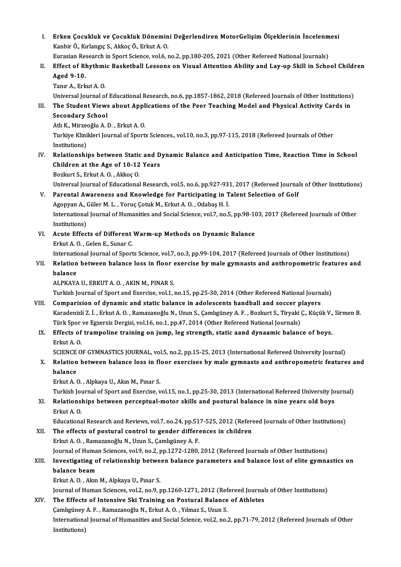I. Erken Çocukluk ve Çocukluk Dönemini Değerlendiren MotorGelişim Ölçeklerinin İncelenmesi<br>Kapkir Ö. Kulangıs S. Akkas Ö. Erkut A. O Erken Çocukluk ve Çocukluk Dönemin<br>Kanbir Ö., Kırlangıç S., Akkoç Ö., Erkut A. O.<br>Eunasian Bessansh in Sport Ssianse vel 6 . Erken Çocukluk ve Çocukluk Dönemini Değerlendiren MotorGelişim Ölçeklerinin İncelenm<br>Kanbir Ö., Kırlangıç S., Akkoç Ö., Erkut A. O.<br>Eurasian Research in Sport Science, vol.6, no.2, pp.180-205, 2021 (Other Refereed National

# Kanbir Ö., Kırlangıç S., Akkoç Ö., Erkut A. O.<br>Eurasian Research in Sport Science, vol.6, no.2, pp.180-205, 2021 (Other Refereed National Journals)<br>II. Effect of Rhythmic Basketball Lessons on Visual Attention Ability and Eurasian Research in Sport Science, vol.6, no.2, pp.180-205, 2021 (Other Refereed National Journals)<br>Effect of Rhythmic Basketball Lessons on Visual Attention Ability and Lay-up Skill in Scho<br>Aged 9-10.<br>Tanır A., Erkut A. Effect of Rhythmi<br>Aged 9-10.<br>Tanır A., Erkut A. O.<br>Universal Journal o Aged 9-10.<br>Tanır A., Erkut A. O.<br>Universal Journal of Educational Research, no.6, pp.1857-1862, 2018 (Refereed Journals of Other Institutions)<br>The Student Views shout Annlisations of the Beer Teaching Model and Physical As

- Tanır A., Erkut A. O.<br>Universal Journal of Educational Research, no.6, pp.1857-1862, 2018 (Refereed Journals of Other Institutions)<br>III. The Student Views about Applications of the Peer Teaching Model and Physical Acti Universal Journal of<br>The Student Views<br>Secondary School<br>Ath K. Mirzooğlu A. I The Student Views about Appl<br>Secondary School<br>Atlı K., Mirzeoğlu A. D. , Erkut A. O.<br>Turkiya Kliniklari Jaurnal of Sport
	-

Secondary School<br>Atlı K., Mirzeoğlu A. D. , Erkut A. O.<br>Turkiye Klinikleri Journal of Sports Sciences., vol.10, no.3, pp.97-115, 2018 (Refereed Journals of Other<br>Institutions) Atlı K., Mirzeo<br>Turkiye Klini<br>Institutions)<br>Belationshi

# IV. Relationships between Static and Dynamic Balance and Anticipation Time, Reaction Time in School Institutions)<br>Relationships between Static and D<br>Children at the Age of 10-12 Years<br>Begluut S. Frlut A.O. Akkee O Relationships between Station<br>Children at the Age of 10-12<br>Bozkurt S., Erkut A.O. , Akkoç O.<br>Universel Journal of Educational

Bozkurt S., Erkut A. O. , Akkoç O.<br>Universal Journal of Educational Research, vol.5, no.6, pp.927-931, 2017 (Refereed Journals of Other Institutions)

# Bozkurt S., Erkut A. O. , Akkoç O.<br>Universal Journal of Educational Research, vol.5, no.6, pp.927-931, 2017 (Refereed Journa<br>V. Parental Awareness and Knowledge for Participating in Talent Selection of Golf Universal Journal of Educational Research, vol.5, no.6, pp.927-93<br>Parental Awareness and Knowledge for Participating in T<br>Agopyan A., Güler M. L. , Yoruç Çotuk M., Erkut A. O. , Odabaş H. İ.<br>International Journal of Humani Parental Awareness and Knowledge for Participating in Talent Selection of Golf<br>Agopyan A., Güler M. L. , Yoruç Çotuk M., Erkut A. O. , Odabaş H. İ.<br>International Journal of Humanities and Social Science, vol.7, no.5, pp.98 Agopyan A., (<br>International<br>Institutions)<br>Agute Effect International Journal of Humanities and Social Science, vol.7, no.5, pp.98-10<br>Institutions)<br>VI. Acute Effects of Different Warm-up Methods on Dynamic Balance<br>Frlot A.O. Colon E. Sunar C

Institutions)<br>VI. Acute Effects of Different Warm-up Methods on Dynamic Balance<br>Erkut A. O., Gelen E., Sunar C. Acute Effects of Different Warm-up Methods on Dynamic Balance<br>Erkut A. O. , Gelen E., Sunar C.<br>International Journal of Sports Science, vol.7, no.3, pp.99-104, 2017 (Refereed Journals of Other Institutions)<br>Polation betwee Erkut A. O. , Gelen E., Sunar C.<br>International Journal of Sports Science, vol.7, no.3, pp.99-104, 2017 (Refereed Journals of Other Institutions)<br>VII. Relation between balance loss in floor exercise by male gymnasts and

# Internation<br>Relation<br>balance Relation between balance loss in floor (<br>balance<br>ALPKAYA U., ERKUT A. O. , AKIN M., PINAR S.<br>Turkich Journal of Sport and Exercise vol.1 . balance<br>ALPKAYA U., ERKUT A. O. , AKIN M., PINAR S.<br>Turkish Journal of Sport and Exercise, vol.1, no.15, pp.25-30, 2014 (Other Refereed National Journals)

- VIII. Comparision of dynamic and static balance in adolescents handball and soccer players Turkish Journal of Sport and Exercise, vol.1, no.15, pp.25-30, 2014 (Other Refereed National Journals)<br>Comparision of dynamic and static balance in adolescents handball and soccer players<br>Karadenizli Z. İ. , Erkut A. O. , Comparision of dynamic and static balance in adolescents handball and soccer p<br>Karadenizli Z. İ. , Erkut A. O. , Ramazanoğlu N., Uzun S., Çamlıgüney A. F. , Bozkurt S., Tiryaki (<br>Türk Spor ve Egzersiz Dergisi, vol.16, no.1 Karadenizli Z. İ. , Erkut A. O. , Ramazanoğlu N., Uzun S., Çamlıgüney A. F. , Bozkurt S., Tiryaki Ç., Küçük V.,<br>Türk Spor ve Egzersiz Dergisi, vol.16, no.1, pp.47, 2014 (Other Refereed National Journals)<br>IX. Effects of tra
	- Türk Spor ve Egzersiz Dergisi, vol.16, no.1, pp.47, 2014 (Other Refereed National Journals)<br>IX. Effects of trampoline training on jump, leg strength, static aand dynaamic balance of boys.<br>Erkut A. O. Effects of trampoline training on jump, leg strength, static aand dynaamic balance of boys.<br>Erkut A. O.<br>SCIENCE OF GYMNASTICS JOURNAL, vol.5, no.2, pp.15-25, 2013 (International Refereed University Journal)<br>Relation betwee

Erkut A. O.<br>SCIENCE OF GYMNASTICS JOURNAL, vol.5, no.2, pp.15-25, 2013 (International Refereed University Journal)<br>X. Relation between balance loss in floor exercises by male gymnasts and anthropometric features and<br>ha SCIENCE<br>Relation<br>balance Relation between balance loss in fl<br>balance<br>Erkut A. O. , Alpkaya U., Akın M., Pınar S.<br>Turkich Journal of Sport and Evergics v balance<br>Erkut A. O. , Alpkaya U., Akın M., Pınar S.<br>Turkish Journal of Sport and Exercise, vol.15, no.1, pp.25-30, 2013 (International Refereed University Journal)<br>Relationshins betyveen nersentual meter skills and nestura

Erkut A. O. , Alpkaya U., Akın M., Pınar S.<br>Turkish Journal of Sport and Exercise, vol.15, no.1, pp.25-30, 2013 (International Refereed University Jo<br>XI. Relationships between perceptual-motor skills and postural balan Turkish Jou<br><mark>Relations</mark><br>Erkut A. O.<br>Educations Relationships between perceptual-motor skills and postural balance in nine years old boys<br>Erkut A. O.<br>Educational Research and Reviews, vol.7, no.24, pp.517-525, 2012 (Refereed Journals of Other Institutions)<br>The effects o

Erkut A. O.<br>Educational Research and Reviews, vol.7, no.24, pp.517-525, 2012 (Refereed Journals of Other Institutions)<br>XII. The effects of postural control to gender differences in children

ErkutA.O. ,RamazanoğluN.,UzunS.,ÇamlıgüneyA.F.

The effects of postural control to gender differences in children<br>Erkut A. O. , Ramazanoğlu N., Uzun S., Çamlıgüney A. F.<br>Journal of Human Sciences, vol.9, no.2, pp.1272-1280, 2012 (Refereed Journals of Other Institutions)

# XIII. Investigating of relationship between balance parameters and balance lost of elite gymnastics on balance beam Journal of Huma<br>I<mark>nvestigating o</mark><br>balance beam<br>Erlut A.O. Alm

ErkutA.O. ,AkınM.,AlpkayaU.,Pınar S.

Journal of Human Sciences, vol.2, no.9, pp.1260-1271, 2012 (Refereed Journals of Other Institutions) Journal of Human Sciences, vol.2, no.9, pp.1260-1271, 2012 (Ref<br>The Effects of Intensive Ski Training on Postural Balance<br>Çamlıgüney A. F. , Ramazanoğlu N., Erkut A. O. , Yılmaz S., Uzun S.<br>International Journal of Humanit

# Erkut A. O., Akın M., Alpkaya U., Pınar S.<br>Journal of Human Sciences, vol.2, no.9, pp.1260-1271, 2012 (Refereed Journal<br>XIV. The Effects of Intensive Ski Training on Postural Balance of Athletes<br>Comkrünov A. E., Bomeranoğl

The Effects of Intensive Ski Training on Postural Balance of Athletes<br>Çamlıgüney A. F. , Ramazanoğlu N., Erkut A. O. , Yılmaz S., Uzun S.<br>International Journal of Humanities and Social Science, vol.2, no.2, pp.71-79, 2012 Camlıgüney<br>Internationa<br>Institutions)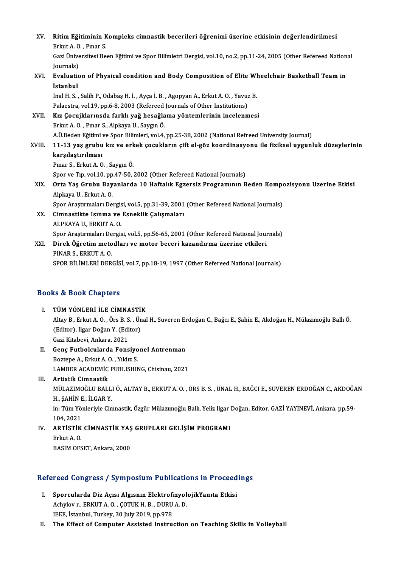| XV.    | Ritim Eğitiminin Kompleks cimnastik becerileri öğrenimi üzerine etkisinin değerlendirilmesi                      |
|--------|------------------------------------------------------------------------------------------------------------------|
|        | Erkut A O, Pinar S                                                                                               |
|        | Gazi Üniversitesi Been Eğitimi ve Spor Bilimletri Dergisi, vol.10, no.2, pp.11-24, 2005 (Other Refereed National |
|        | Journals)                                                                                                        |
| XVI.   | Evaluation of Physical condition and Body Composition of Elite Wheelchair Basketball Team in                     |
|        | İstanbul                                                                                                         |
|        | İnal H. S., Salih P., Odabaş H. İ., Ayça İ. B., Agopyan A., Erkut A. O., Yavuz B.                                |
|        | Palaestra, vol.19, pp.6-8, 2003 (Refereed Journals of Other Institutions)                                        |
| XVII.  | Kız Çocujklarınsda farklı yağ hesağlama yöntemlerinin incelenmesi                                                |
|        | Erkut A. O., Pinar S., Alpkaya U., Saygin Ö.                                                                     |
|        | A.Ü.Beden Eğitimi ve Spor Bilimleri, vol.4, pp.25-38, 2002 (National Refreed University Journal)                 |
| XVIII. | 11-13 yaş grubu kız ve erkek çocukların çift el-göz koordinasyonu ile fiziksel uygunluk düzeylerinin             |
|        | karşılaştırılması                                                                                                |
|        | Pınar S., Erkut A.O., Saygın Ö.                                                                                  |
|        | Spor ve Tip, vol.10, pp.47-50, 2002 (Other Refereed National Journals)                                           |
| XIX.   | Orta Yaş Grubu Bayanlarda 10 Haftalık Egzersiz Programının Beden Kompozisyonu Uzerine Etkisi                     |
|        | Alpkaya U., Erkut A.O.                                                                                           |
|        | Spor Araştırmaları Dergisi, vol.5, pp.31-39, 2001 (Other Refereed National Journals)                             |
| XX.    | Cimnastikte Isınma ve Esneklik Çalışmaları                                                                       |
|        | ALPKAYA U, ERKUT A.O.                                                                                            |
|        | Spor Araştırmaları Dergisi, vol.5, pp.56-65, 2001 (Other Refereed National Journals)                             |
| XXI.   | Direk Öğretim metodları ve motor beceri kazandırma üzerine etkileri                                              |
|        | PINAR S, ERKUT A O                                                                                               |
|        | SPOR BİLİMLERİ DERGİSİ, vol.7, pp.18-19, 1997 (Other Refereed National Journals)                                 |

# SPOR BILIMLERI DERGIS<br>Books & Book Chapters

| <b>Books &amp; Book Chapters</b> |                                                                                                                     |  |  |  |
|----------------------------------|---------------------------------------------------------------------------------------------------------------------|--|--|--|
| L                                | TÜM YÖNLERİ İLE CİMNASTİK                                                                                           |  |  |  |
|                                  | Altay B., Erkut A. O., Örs B. S., Ünal H., Suveren Erdoğan C., Bağcı E., Şahin E., Akdoğan H., Mülazımoğlu Ballı Ö. |  |  |  |
|                                  | (Editor), Ilgar Doğan Y (Editor)                                                                                    |  |  |  |
|                                  | Gazi Kitabevi, Ankara, 2021                                                                                         |  |  |  |
| П.                               | Genç Futbolcularda Fonsiyonel Antrenman                                                                             |  |  |  |
|                                  | Boztepe A, Erkut A. O., Yildiz S.                                                                                   |  |  |  |
|                                  | LAMBER ACADEMIC PUBLISHING, Chisinau, 2021                                                                          |  |  |  |
| Ш.                               | Artistik Cimnastik                                                                                                  |  |  |  |
|                                  | MÜLAZIMOĞLU BALLI Ö., ALTAY B., ERKUT A. O. , ÖRS B. S. , ÜNAL H., BAĞCI E., SUVEREN ERDOĞAN C., AKDOĞAN            |  |  |  |
|                                  | U CALINE ILCAD V                                                                                                    |  |  |  |

H.,ŞAHİNE., İLGARY. MÜLAZIMOĞLU BALLI Ö., ALTAY B., ERKUT A. O. , ÖRS B. S. , ÜNAL H., BAĞCI E., SUVEREN ERDOĞAN C., AKDOĞA<br>H., ŞAHİN E., İLGAR Y.<br>in: Tüm Yönleriyle Cimnastik, Özgür Mülazımoğlu Ballı, Yeliz Ilgar Doğan, Editor, GAZİ YAYINEVİ

H., ŞAHİN E<br>in: Tüm Yö:<br>104, 2021<br>APTİSTİK in: Tüm Yönleriyle Cimnastik, Özgür Mülazımoğlu Ballı, Yeliz Ilgar<br>104, 2021<br>IV. ARTİSTİK CİMNASTİK YAŞ GRUPLARI GELİŞİM PROGRAMI

# 104, 2021<br>**ARTİSTİK**<br>Erkut A. O.<br>PASIM OES <mark>ARTİSTİK CİMNASTİK YAŞ</mark><br>Erkut A. O.<br>BASIM OFSET, Ankara, 2000

# ваям оғзет, апкаға, 2000<br>Refereed Congress / Symposium Publications in Proceedings

- efereed Congress / Symposium Publications in Proceed<br>I. Sporcularda Diz Açısı Algısnın ElektrofizyolojikYanıta Etkisi Achylov r., ERKUT A.O., ÇOTUK H.B., DURU A.D.<br>Achylov r., ERKUT A.O., ÇOTUK H.B., DURU A.D.<br>IEEE Ataphul Turkey, 20 July 2010, np.979 Sporcularda Diz Açısı Algısnın Elektrofi<br>Achylov r., ERKUT A. O. , ÇOTUK H. B. , DURU<br>IEEE, İstanbul, Turkey, 30 July 2019, pp.978<br>The Effect of Computer Assisted Instru
- IEEE, İstanbul, Turkey, 30 July 2019, pp.978<br>II. The Effect of Computer Assisted Instruction on Teaching Skills in Volleyball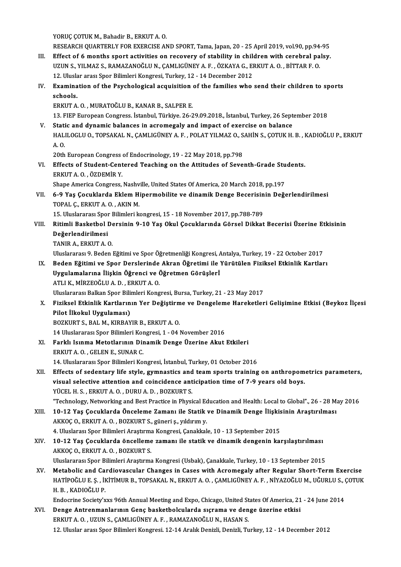YORUÇ ÇOTUK M., Bahadir B., ERKUT A. O.

YORUÇ ÇOTUK M., Bahadir B., ERKUT A. O.<br>RESEARCH QUARTERLY FOR EXERCISE AND SPORT, Tama, Japan, 20 - 25 April 2019, vol.90, pp.94-95<br>Effect of 6 months sport astivities on reservery of stability in shildren with sexabral p

- YORUÇ ÇOTUK M., Bahadir B., ERKUT A. O.<br>RESEARCH QUARTERLY FOR EXERCISE AND SPORT, Tama, Japan, 20 25 April 2019, vol.90, pp.94-95<br>III. Effect of 6 months sport activities on recovery of stability in children with cerebr RESEARCH QUARTERLY FOR EXERCISE AND SPORT, Tama, Japan, 20 - 25 April 2019, vol.90, pp.94<br>Effect of 6 months sport activities on recovery of stability in children with cerebral pa<br>UZUN S., YILMAZ S., RAMAZANOĞLU N., ÇAMLIG Effect of 6 months sport activities on recovery of stability in chilo<br>UZUN S., YILMAZ S., RAMAZANOĞLU N., ÇAMLIGÜNEY A. F. , ÖZKAYA G., EI<br>12. Uluslar arası Spor Bilimleri Kongresi, Turkey, 12 - 14 December 2012<br>Examinatio UZUN S., YILMAZ S., RAMAZANOĞLU N., ÇAMLIGÜNEY A. F. , ÖZKAYA G., ERKUT A. O. , BİTTAR F. O.<br>12. Uluslar arası Spor Bilimleri Kongresi, Turkey, 12 - 14 December 2012<br>IV. Examination of the Psychological acquisition of the
- 12. Uluslar arası Spor Bilimleri Kongresi, Turkey, 12 14 December 2012<br>Examination of the Psychological acquisition of the families who<br>schools.<br>ERKUT A. O., MURATOĞLU B., KANAR B., SALPER E. Examination of the Psychological acquisition<br>schools.<br>ERKUT A. O., MURATOĞLU B., KANAR B., SALPER E.<br>12. ELED European Congress, İstanbul, Türkiye 26.2

13.FIEPEuropeanCongress. İstanbul,Türkiye.26-29.09.2018., İstanbul,Turkey,26 September 2018

ERKUT A. O., MURATOĞLU B., KANAR B., SALPER E.<br>13. FIEP European Congress. İstanbul, Türkiye. 26-29.09.2018., İstanbul, Turkey, 26 Sept<br>V. Static and dynamic balances in acromegaly and impact of exercise on balance<br>HALU OC 13. FIEP European Congress. İstanbul, Türkiye. 26-29.09.2018., İstanbul, Turkey, 26 September 2018<br>Static and dynamic balances in acromegaly and impact of exercise on balance<br>HALILOGLU 0., TOPSAKAL N., ÇAMLIGÜNEY A. F. , P Stati<br>HAL<br>A.O. HALILOGLU O., TOPSAKAL N., ÇAMLIGÜNEY A. F. , POLAT YILMAZ O., S.<br>A. O.<br>20th European Congress of Endocrinology, 19 - 22 May 2018, pp.798<br>Effects of Student Contaned Teaching on the Attitudes of Seve

A. O.<br>20th European Congress of Endocrinology, 19 - 22 May 2018, pp.798<br>VI. Effects of Student-Centered Teaching on the Attitudes of Seventh-Grade Students.<br>EPKUT A. O. ÖZDEMİR V 20th European Congress<br>Effects of Student-Cent<br>ERKUT A. O. , ÖZDEMİR Y.<br>Shane America Congress Effects of Student-Centered Teaching on the Attitudes of Seventh-Grade Stu<br>ERKUT A. O. , ÖZDEMİR Y.<br>Shape America Congress, Nashville, United States Of America, 20 March 2018, pp.197<br>6. 9. Yas Cosuklanda Eklam Hinarmabilit

ERKUT A. O. , ÖZDEMİR Y.<br>Shape America Congress, Nashville, United States Of America, 20 March 2018, pp.197<br>VII. 6-9 Yaş Çocuklarda Eklem Hipermobilite ve dinamik Denge Becerisinin Değerlendirilmesi<br>TOPAL G ERKUT A. O. AKI Shape America Congress, Nashv<br>6-9 Yaş Çocuklarda Eklem H<br>TOPAL Ç., ERKUT A. O. , AKIN M.<br>15 Hluelararea: Span Bilimleri k 6-9 Yaş Çocuklarda Eklem Hipermobilite ve dinamik Denge Becerisin<br>TOPAL Ç., ERKUT A. O. , AKIN M.<br>15. Uluslararası Spor Bilimleri kongresi, 15 - 18 November 2017, pp.788-789<br>Bitimli Beskethel Densinin 9.19 Yas Oluyl Cesukl

- TOPAL Ç., ERKUT A. O. , AKIN M.<br>15. Uluslararası Spor Bilimleri kongresi, 15 18 November 2017, pp.788-789<br>VIII. Ritimli Basketbol Dersinin 9-10 Yaş Okul Çocuklarında Görsel Dikkat Becerisi Üzerine Etkisinin<br>Değerlend 15. Uluslararası Spor Bilimleri kongresi, 15 - 18 November 2017, pp.788-789<br>Ritimli Basketbol Dersinin 9-10 Yaş Okul Çocuklarında Görsel Dikkat<br>Değerlendirilmesi<br>TANIR A., ERKUT A. O. Ritimli Basketbol De<br>Değerlendirilmesi<br>TANIR A., ERKUT A. O.<br>Uluslararası 9. Bodan
	-

Uluslararası 9. Beden Eğitimi ve Spor Öğretmenliği Kongresi, Antalya, Turkey, 19 - 22 October 2017

IX. Beden Eğitimi ve Spor Derslerinde Akran Öğretimi ile Yürütülen Fiziksel Etkinlik Kartları Uluslararası 9. Beden Eğitimi ve Spor Öğretmenliği Kongresi, *f*<br>Beden Eğitimi ve Spor Derslerinde Akran Öğretimi ile T<br>Uygulamalarına İlişkin Öğrenci ve Öğretmen Görüşlerİ<br>ATLLK MİPZEQĞLUA D. ERKUTA Q Beden Eğitimi ve Spor Derslerinde<br>Uygulamalarına İlişkin Öğrenci ve (<br>ATLI K., MİRZEOĞLU A. D. , ERKUT A. O.<br>Uluslararası Balkan Spor Bilimleri Kong

ATLI K., MİRZEOĞLU A. D. , ERKUT A. O.<br>Uluslararası Balkan Spor Bilimleri Kongresi, Bursa, Turkey, 21 - 23 May 2017

X. Fiziksel Etkinlik Kartlarının Yer Değiştirme ve Dengeleme Hareketleri Gelişimine Etkisi (Beykoz İlçesi Pilot İlkokul Uygulaması)

BOZKURTS.,BALM.,KIRBAYIRB.,ERKUTA.O.

14 Uluslararası Spor Bilimleri Kongresi, 1 - 04 November 2016

- BOZKURT S., BAL M., KIRBAYIR B., ERKUT A. O.<br>14 Uluslararası Spor Bilimleri Kongresi, 1 04 November 2016<br>XI. Farklı Isınma Metotlarının Dinamik Denge Üzerine Akut Etkileri<br>ERKUT A. O., GELEN E. SUNAR G. 14 Uluslararası Spor Bilimleri Kor<br>Farklı Isınma Metotlarının Dir<br>ERKUT A. O., GELEN E., SUNAR C.<br>14 Uluslararası Spor Bilimleri Ko ERKUT A. O. , GELEN E., SUNAR C.<br>14. Uluslararası Spor Bilimleri Kongresi, İstanbul, Turkey, 01 October 2016
- ERKUT A. O. , GELEN E., SUNAR C.<br>14. Uluslararası Spor Bilimleri Kongresi, İstanbul, Turkey, 01 October 2016<br>XII. Effects of sedentary life style, gymnastics and team sports training on anthropometrics parameters,<br>wievel s 14. Uluslararası Spor Bilimleri Kongresi, İstanbul, Turkey, 01 October 2016<br>Effects of sedentary life style, gymnastics and team sports training on anthropom<br>visual selective attention and coincidence anticipation time of Effects of sedentary life style, gymnastics and<br>visual selective attention and coincidence ant<br>YÜCEL H. S., ERKUT A. O., DURU A. D., BOZKURT S.<br>"Technology Networking and Best Practice in Physi visual selective attention and coincidence anticipation time of 7-9 years old boys.<br>YÜCEL H. S., ERKUT A. O. , DURU A. D. , BOZKURT S.<br>"Technology, Networking and Best Practice in Physical Education and Health: Local to Gl YÜCEL H. S. , ERKUT A. O. , DURU A. D. , BOZKURT S.<br>Frechnology, Networking and Best Practice in Physical Education and Health: Local to Global"., 26 - 28 M.<br>XIII. 10-12 Yaş Çocuklarda Önceleme Zamanı ile Statik ve Dinamik
- "Technology, Networking and Best Practice in Physical Ec<br>10-12 Yaş Çocuklarda Önceleme Zamanı ile Statik<br>AKKOÇ O., ERKUT A. O. , BOZKURT S., güneri ş., yıldırım y.<br>4. Uluslaresi Spor Bilimleri Arastırma Kongresi, Canakkal 10-12 Yaş Çocuklarda Önceleme Zamanı ile Statik ve Dinamik Denge İlişkis<br>AKKOÇ O., ERKUT A. O. , BOZKURT S., güneri ş., yıldırım y.<br>4. Uluslarası Spor Bilimleri Araştırma Kongresi, Çanakkale, 10 - 13 September 2015<br>10 12 Y AKKOÇ O., ERKUT A. O. , BOZKURT S., güneri ş., yıldırım y.<br>4. Uluslarası Spor Bilimleri Araştırma Kongresi, Çanakkale, 10 - 13 September 2015<br>XIV. 10-12 Yaş Çocuklarda öncelleme zamanı ile statik ve dinamik dengenin karşıl
- 4. Uluslarası Spor Bilimleri Araştırma<br>10-12 Yaş Çocuklarda öncelleme<br>AKKOÇ O., ERKUT A. O. , BOZKURT S.<br>Uluslararası Spor Bilimleri Arastırma 10-12 Yaş Çocuklarda öncelleme zamanı ile statik ve dinamik dengenin karşılaştırılması<br>AKKOÇ O., ERKUT A. O. , BOZKURT S.<br>Uluslararası Spor Bilimleri Araştırma Kongresi (Usbak), Çanakkale, Turkey, 10 - 13 September 2015<br>Me AKKOÇ O., ERKUT A. O. , BOZKURT S.<br>Uluslararası Spor Bilimleri Araştırma Kongresi (Usbak), Çanakkale, Turkey, 10 - 13 September 2015<br>XV. Metabolic and Cardiovascular Changes in Cases with Acromegaly after Regular Short

Uluslararası Spor Bilimleri Araştırma Kongresi (Usbak), Çanakkale, Turkey, 10 - 13 September 2015<br>Metabolic and Cardiovascular Changes in Cases with Acromegaly after Regular Short-Term Exercise<br>HATİPOĞLU E. Ş. , İKİTİMUR B H.B. ,KADIOĞLUP. HATİPOĞLU E. Ş. , İKİTİMUR B., TOPSAKAL N., ERKUT A. O. , ÇAMLIGÜNEY A. F. , NİYAZOĞLU M., UĞURLU S., (<br>H. B. , KADIOĞLU P.<br>Endocrine Society'xxs 96th Annual Meeting and Expo, Chicago, United States Of America, 21 - 24 Jun

H. B., KADIOĞLU P.<br>Endocrine Society'xxs 96th Annual Meeting and Expo, Chicago, United States Of America, 21<br>XVI. Denge Antrenmanlarının Genç basketbolcularda sıçrama ve denge üzerine etkisi Endocrine Society'xxs 96th Annual Meeting and Expo, Chicago, United St<br>Denge Antrenmanlarının Genç basketbolcularda sıçrama ve den<br>ERKUT A. O. , UZUN S., ÇAMLIGÜNEY A. F. , RAMAZANOĞLU N., HASAN S.<br>12. Uluelar arası Spor B 12. Denge Antrenmanlarının Genç basketbolcularda sıçrama ve denge üzerine etkisi<br>12. Uluslar arası Spor Bilimleri Kongresi. 12-14 Aralık Denizli, Denizli, Turkey, 12 - 14 December 2012<br>12. Uluslar arası Spor Bilimleri Kong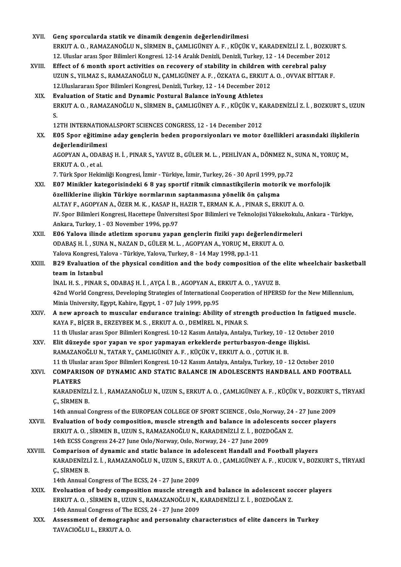| XVII.        | Genç sporcularda statik ve dinamik dengenin değerlendirilmesi                                                    |
|--------------|------------------------------------------------------------------------------------------------------------------|
|              | ERKUT A. O., RAMAZANOĞLU N., SİRMEN B., ÇAMLIGÜNEY A. F., KÜÇÜK V., KARADENIZLI Z. İ., BOZKURT S.                |
|              | 12. Uluslar arası Spor Bilimleri Kongresi. 12-14 Aralık Denizli, Denizli, Turkey, 12 - 14 December 2012          |
| XVIII.       | Effect of 6 month sport activities on recovery of stability in children with cerebral palsy                      |
|              | UZUN S., YILMAZ S., RAMAZANOĞLU N., ÇAMLIGÜNEY A. F., ÖZKAYA G., ERKUT A. O., OVVAK BİTTAR F.                    |
|              | 12. Uluslararası Spor Bilimleri Kongresi, Denizli, Turkey, 12 - 14 December 2012                                 |
| XIX.         | Evaluation of Static and Dynamic Postural Balance inYoung Athletes                                               |
|              | ERKUT A. O. , RAMAZANOĞLU N., SİRMEN B., ÇAMLIGÜNEY A. F. , KÜÇÜK V., KARADENİZLİ Z. İ. , BOZKURT S., UZUN       |
|              | S.                                                                                                               |
|              | 12TH INTERNATIONALSPORT SCIENCES CONGRESS, 12 - 14 December 2012                                                 |
| XX.          | E05 Spor eğitimine aday gençlerin beden proporsiyonları ve motor özellikleri arasındaki ilişkilerin              |
|              | değerlendirilmesi                                                                                                |
|              | AGOPYAN A., ODABAŞ H. İ., PINAR S., YAVUZ B., GÜLER M. L., PEHLİVAN A., DÖNMEZ N., SUNA N., YORUÇ M.,            |
|              | ERKUT A O, et al.                                                                                                |
|              | 7. Türk Spor Hekimliği Kongresi, İzmir - Türkiye, İzmir, Turkey, 26 - 30 April 1999, pp.72                       |
| XXI.         | E07 Minikler kategorisindeki 6 8 yaş sportif ritmik cimnastikçilerin motorik ve morfolojik                       |
|              | özelliklerine ilişkin Türkiye normlarının saptanmasına yönelik ön çalışma                                        |
|              | ALTAY F., AGOPYAN A., ÖZER M. K., KASAP H., HAZIR T., ERMAN K. A., PINAR S., ERKUT A. O.                         |
|              | IV. Spor Bilimleri Kongresi, Hacettepe Üniversitesi Spor Bilimleri ve Teknolojisi Yüksekokulu, Ankara - Türkiye, |
|              | Ankara, Turkey, 1 - 03 November 1996, pp.97                                                                      |
| XXII.        | E06 Yalova ilinde atletizm sporunu yapan gençlerin fiziki yapı değerlendirmeleri                                 |
|              | ODABAŞ H. İ., SUNA N., NAZAN D., GÜLER M. L., AGOPYAN A., YORUÇ M., ERKUT A. O.                                  |
|              | Yalova Kongresi, Yalova - Türkiye, Yalova, Turkey, 8 - 14 May 1998, pp.1-11                                      |
| XXIII.       | B29 Evaluation of the physical condition and the body composition of the elite wheelchair basketball             |
|              | team in Istanbul                                                                                                 |
|              | İNAL H. S., PINAR S., ODABAŞ H. İ., AYÇA İ. B., AGOPYAN A., ERKUT A. O., YAVUZ B.                                |
|              | 42nd World Congress, Developing Strategies of International Cooperation of HPERSD for the New Millennium,        |
|              | Minia University, Egypt, Kahire, Egypt, 1 - 07 July 1999, pp.95                                                  |
| XXIV.        | A new aproach to muscular endurance training: Ability of strength production In fatigued muscle.                 |
|              | KAYA F., BİÇER B., ERZEYBEK M. S., ERKUT A. O., DEMİREL N., PINAR S.                                             |
|              | 11 th Uluslar arası Spor Bilimleri Kongresi. 10-12 Kasım Antalya, Antalya, Turkey, 10 - 12 October 2010          |
| XXV.         | Elit düzeyde spor yapan ve spor yapmayan erkeklerde perturbasyon-denge ilişkisi.                                 |
|              | RAMAZANOĞLU N., TATAR Y., ÇAMLIGÜNEY A. F., KÜÇÜK V., ERKUT A. O., ÇOTUK H. B.                                   |
|              | 11 th Uluslar arası Spor Bilimleri Kongresi. 10-12 Kasım Antalya, Antalya, Turkey, 10 - 12 October 2010          |
| XXVI.        | COMPARISON OF DYNAMIC AND STATIC BALANCE IN ADOLESCENTS HANDBALL AND FOOTBALL                                    |
|              | <b>PLAYERS</b>                                                                                                   |
|              | KARADENİZLİ Z. İ., RAMAZANOĞLU N., UZUN S., ERKUT A. O., ÇAMLIGÜNEY A. F., KÜÇÜK V., BOZKURT S., TİRYAKİ         |
|              | C., SİRMEN B.                                                                                                    |
|              | 14th annual Congress of the EUROPEAN COLLEGE OF SPORT SCIENCE, Oslo_Norway, 24 - 27 June 2009                    |
| <b>XXVII</b> | Evaluation of body composition, muscle strength and balance in adolescents soccer players                        |
|              | ERKUT A. O., SİRMEN B., UZUN S., RAMAZANOĞLU N., KARADENİZLİ Z. İ., BOZDOĞAN Z.                                  |
|              | 14th ECSS Congress 24-27 June Oslo/Norway, Oslo, Norway, 24 - 27 June 2009                                       |
| XXVIII.      | Comparison of dynamic and static balance in adolescent Handall and Football players                              |
|              | KARADENİZLİ Z. İ., RAMAZANOĞLU N., UZUN S., ERKUT A. O., ÇAMLIGÜNEY A. F., KUCUK V., BOZKURT S., TİRYAKİ         |
|              | C., SİRMEN B.                                                                                                    |
|              | 14th Annual Congress of The ECSS, 24 - 27 June 2009                                                              |
| XXIX.        | Evoluation of body composition muscle strength and balance in adolescent soccer players                          |
|              | ERKUT A. O., SİRMEN B., UZUN S., RAMAZANOĞLU N., KARADENİZLİ Z. İ., BOZDOĞAN Z.                                  |
|              | 14th Annual Congress of The ECSS, 24 - 27 June 2009                                                              |
| XXX.         | Assessment of demographic and personality characteristics of elite dancers in Turkey                             |
|              | TAVACIOĞLU L., ERKUT A. O.                                                                                       |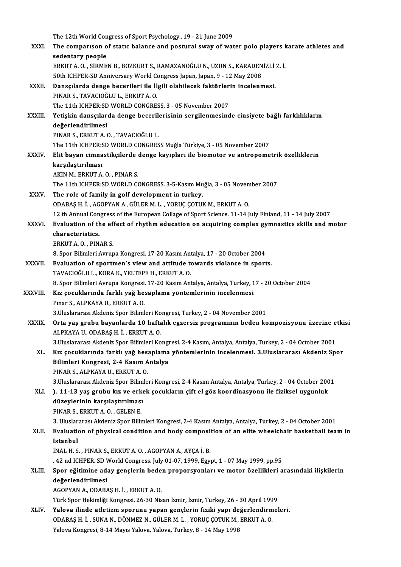|                | The 12th World Congress of Sport Psychology, 19 - 21 June 2009                                                |
|----------------|---------------------------------------------------------------------------------------------------------------|
| XXXI.          | The comparison of static balance and postural sway of water polo players karate athletes and                  |
|                | sedentary people                                                                                              |
|                | ERKUT A. O., SİRMEN B., BOZKURT S., RAMAZANOĞLU N., UZUN S., KARADENİZLİ Z. İ.                                |
|                | 50th ICHPER-SD Anniversary World Congress Japan, Japan, 9 - 12 May 2008                                       |
| XXXII.         | Dansçılarda denge becerileri ile İlgili olabilecek faktörlerin incelenmesi.                                   |
|                | PINAR S., TAVACIOĞLU L., ERKUT A. O.                                                                          |
|                | The 11th ICHPER:SD WORLD CONGRESS, 3 - 05 November 2007                                                       |
| <b>XXXIII</b>  | Yetişkin dansçılarda denge becerilerisinin sergilenmesinde cinsiyete bağlı farklılıkların                     |
|                | değerlendirilmesi                                                                                             |
|                | PINAR S., ERKUT A. O., TAVACIOĞLU L.<br>The 11th ICHPER:SD WORLD CONGRESS Muğla Türkiye, 3 - 05 November 2007 |
| <b>XXXIV</b>   | Elit bayan cimnastikçilerde denge kayıpları ile biomotor ve antropometrik özelliklerin                        |
|                | karşılaştırılması                                                                                             |
|                | AKIN M., ERKUT A.O., PINAR S.                                                                                 |
|                | The 11th ICHPER:SD WORLD CONGRESS. 3-5-Kasim Muğla, 3 - 05 November 2007                                      |
| <b>XXXV</b>    | The role of family in golf development in turkey.                                                             |
|                | ODABAŞ H. İ., AGOPYAN A., GÜLER M. L., YORUÇ ÇOTUK M., ERKUT A. O.                                            |
|                | 12 th Annual Congress of the European Collage of Sport Science. 11-14 July Finland, 11 - 14 July 2007         |
| <b>XXXVI</b>   | Evaluation of the effect of rhythm education on acquiring complex gymnastics skills and motor                 |
|                | characteristics.                                                                                              |
|                | ERKUT A.O., PINAR S.                                                                                          |
|                | 8. Spor Bilimleri Avrupa Kongresi. 17-20 Kasım Antalya, 17 - 20 October 2004                                  |
| <b>XXXVII.</b> | Evaluation of sportmen's view and attitude towards violance in sports.                                        |
|                | TAVACIOĞLU L., KORA K., YELTEPE H., ERKUT A. O.                                                               |
|                | 8. Spor Bilimleri Avrupa Kongresi. 17-20 Kasım Antalya, Antalya, Turkey, 17 - 20 October 2004                 |
| XXXVIII.       | Kız çocuklarında farklı yağ hesaplama yöntemlerinin incelenmesi<br>Pinar S., ALPKAYA U., ERKUT A. O.          |
|                | 3. Uluslararası Akdeniz Spor Bilimleri Kongresi, Turkey, 2 - 04 November 2001                                 |
| <b>XXXIX</b>   | Orta yaş grubu bayanlarda 10 haftalık egzersiz programının beden kompozisyonu üzerine etkisi                  |
|                | ALPKAYA U., ODABAŞ H. İ., ERKUT A. O.                                                                         |
|                | 3. Uluslararası Akdeniz Spor Bilimleri Kongresi. 2-4 Kasım, Antalya, Antalya, Turkey, 2 - 04 October 2001     |
| XL.            | Kız çocuklarında farklı yağ hesaplama yöntemlerinin incelenmesi. 3. Uluslararası Akdeniz Spor                 |
|                | Bilimleri Kongresi, 2-4 Kasım Antalya                                                                         |
|                | PINAR S., ALPKAYA U., ERKUT A. O.                                                                             |
|                | 3. Uluslararası Akdeniz Spor Bilimleri Kongresi, 2-4 Kasım Antalya, Antalya, Turkey, 2 - 04 October 2001      |
| XLI.           | ). 11-13 yaş grubu kız ve erkek çocukların çift el göz koordinasyonu ile fiziksel uygunluk                    |
|                | düzeylerinin karşılaştırılması                                                                                |
|                | PINAR S., ERKUT A. O., GELEN E.                                                                               |
|                | 3. Uluslararası Akdeniz Spor Bilimleri Kongresi, 2-4 Kasım Antalya, Antalya, Turkey, 2 - 04 October 2001      |
| XLII.          | Evaluation of physical condition and body composition of an elite wheelchair basketball team in               |
|                | Istanbul<br>INAL H. S., PINAR S., ERKUT A. O., AGOPYAN A., AYÇA İ. B.                                         |
|                | .42 nd ICHPER. SD World Congress. July 01-07, 1999, Egypt, 1 - 07 May 1999, pp.95                             |
| XLIII.         | Spor eğitimine aday gençlerin beden proporsyonları ve motor özellikleri arasındaki ilişkilerin                |
|                | değerlendirilmesi                                                                                             |
|                | AGOPYAN A., ODABAŞ H. İ. , ERKUT A. O.                                                                        |
|                | Türk Spor Hekimliği Kongresi. 26-30 Nisan İzmir, İzmir, Turkey, 26 - 30 April 1999                            |
| XLIV.          | Yalova ilinde atletizm sporunu yapan gençlerin fiziki yapı değerlendirmeleri.                                 |
|                | ODABAŞ H. İ., SUNA N., DÖNMEZ N., GÜLER M. L., YORUÇ ÇOTUK M., ERKUT A. O.                                    |
|                | Yalova Kongresi, 8-14 Mayıs Yalova, Yalova, Turkey, 8 - 14 May 1998                                           |
|                |                                                                                                               |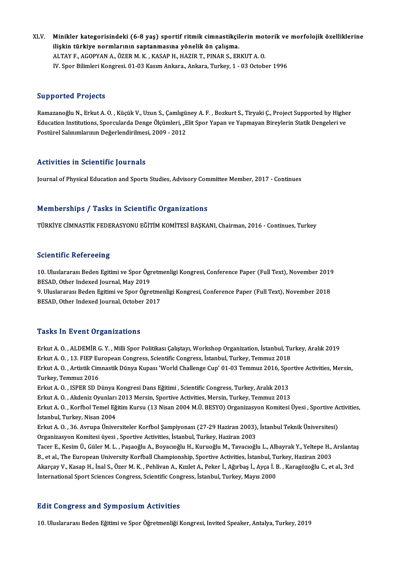XLV. Minikler kategorisindeki (6-8 yaş) sportif ritmik cimnastikçilerin motorik ve morfolojik özelliklerine<br>İliskin türkiye nermlarının sentenmesine yönelik ön selisme Minikler kategorisindeki (6-8 yaş) sportif ritmik cimnastikçil<br>ilişkin türkiye normlarının saptanmasına yönelik ön çalışma.<br>ALTAVE ACOPYANA ÖZER M.K., KASARH, HAZIR T. PINAR S. ER Minikler kategorisindeki (6-8 yaş) sportif ritmik cimnastikçilerin mot<br>ilişkin türkiye normlarının saptanmasına yönelik ön çalışma.<br>ALTAY F., AGOPYAN A., ÖZER M. K. , KASAP H., HAZIR T., PINAR S., ERKUT A. O.<br>W. Spor Bilim ilişkin türkiye normlarının saptanmasına yönelik ön çalışma.<br>ALTAY F., AGOPYAN A., ÖZER M. K. , KASAP H., HAZIR T., PINAR S., ERKUT A. O.<br>IV. Spor Bilimleri Kongresi. 01-03 Kasım Ankara, Ankara, Turkey, 1 - 03 October 1996

## Supported Projects

**Supported Projects**<br>Ramazanoğlu N., Erkut A. O. , Küçük V., Uzun S., Çamlıgüney A. F. , Bozkurt S., Tiryaki Ç., Project Supported by Higher<br>Education Institutions, Sporsularda Denge Ölsümleri ...Elit Spor Vapan ve Yanmaya Edpported Frojeca.<br>Ramazanoğlu N., Erkut A. O. , Küçük V., Uzun S., Çamlıgüney A. F. , Bozkurt S., Tiryaki Ç., Project Supported by Highe<br>Education Institutions, Sporcularda Denge Ölçümleri, "Elit Spor Yapan ve Yapmayan Bi Ramazanoğlu N., Erkut A. O. , Küçük V., Uzun S., Çamlıgü<br>Education Institutions, Sporcularda Denge Ölçümleri, "E<br>Postürel Salınımlarının Değerlendirilmesi, 2009 - 2012 Postürel Salınımlarının Değerlendirilmesi, 2009 - 2012<br>Activities in Scientific Journals

Journal of Physical Education and Sports Studies, Advisory Committee Member, 2017 - Continues

## Memberships / Tasks in Scientific Organizations

TÜRKİYE CİMNASTİK FEDERASYONU EĞİTİM KOMİTESİ BAŞKANI, Chairman, 2016 - Continues, Turkey

## **Scientific Refereeing**

Scientific Refereeing<br>10. Uluslararası Beden Egitimi ve Spor Ögretmenligi Kongresi, Conference Paper (Full Text), November 2019<br>RESAD, Other Indexed Journal, May 2019 Besentinite Neren Bening<br>10. Uluslararası Beden Egitimi ve Spor Ögi<br>BESAD, Other Indexed Journal, May 2019<br>9. Uluslararası Beden Egitimi ve Spor Ögye 10. Uluslararası Beden Egitimi ve Spor Ögretmenligi Kongresi, Conference Paper (Full Text), November 2019<br>BESAD, Other Indexed Journal, May 2019<br>9. Uluslararası Beden Egitimi ve Spor Ögretmenligi Kongresi, Conference Paper

BESAD, Other Indexed Journal, May 2019<br>9. Uluslararası Beden Egitimi ve Spor Ögretmenligi Kongresi, Conference Paper (Full Text), November 2018<br>BESAD, Other Indexed Journal, October 2017

### **Tasks In Event Organizations**

Tasks In Event Organizations<br>Erkut A. O. , ALDEMİR G. Y. , Milli Spor Politikası Çalıştayı, Workshop Organization, İstanbul, Turkey, Aralık 2019<br>Erlut A. O. 13. EJER European Congress, Ssientifis Congress, İstanbul, Turkey 1 abiis 11 2 vent en gammatisme<br>Erkut A. O. , ALDEMİR G. Y. , Milli Spor Politikası Çalıştayı, Workshop Organization, İstanbul, Tu<br>Erkut A. O. , Artistik Gimnastik Dünya Kunası 'World Challange Gun' 91.93 Temmuz 2016, Spol Erkut A. O. , ALDEMİR G. Y. , Milli Spor Politikası Çalıştayı, Workshop Organization, İstanbul, Turkey, Aralık 2019<br>Erkut A. O. , 13. FIEP European Congress, Scientific Congress, İstanbul, Turkey, Temmuz 2018<br>Erkut A. O. , Erkut A. O. , 13. FIEP European Congress, Scientific Congress, İstanbul, Turkey, Temmuz 2018<br>Erkut A. O. , Artistik Cimnastik Dünya Kupası 'World Challenge Cup' 01-03 Temmuz 2016, Spo<br>Turkey, Temmuz 2016<br>Erkut A. O. , ISPE Erkut A. O. , Artistik Cimnastik Dünya Kupası 'World Challenge Cup' 01-03 Temmuz 2016, Spo<br>Turkey, Temmuz 2016<br>Erkut A. O. , ISPER SD Dünya Kongresi Dans Eğitimi , Scientific Congress, Turkey, Aralık 2013<br>Erlut A. O. , Akd Erkut A. O., Akdeniz Oyunları 2013 Mersin, Sportive Activities, Mersin, Turkey, Temmuz 2013 Erkut A. O. , ISPER SD Dünya Kongresi Dans Eğitimi , Scientific Congress, Turkey, Aralık 2013<br>Erkut A. O. , Akdeniz Oyunları 2013 Mersin, Sportive Activities, Mersin, Turkey, Temmuz 2013<br>Erkut A. O. , Korfbol Temel Eğitim Erkut A. O. , Akdeniz Oyunları<br>Erkut A. O. , Korfbol Temel Eğ<br>İstanbul, Turkey, Nisan 2004<br>Erlut A. O. 36 Ayruna Üniye Erkut A. O. , Korfbol Temel Eğitim Kursu (13 Nisan 2004 M.Ü. BESYO) Organizasyon Komitesi Üyesi , Sportive Ao<br>İstanbul, Turkey, Nisan 2004<br>Erkut A. O. , 36. Avrupa Üniversiteler Korfbol Şampiyonası (27-29 Haziran 2003), İs İstanbul, Turkey, Nisan 2004<br>Erkut A. O. , 36. Avrupa Üniversiteler Korfbol Şampiyonası (27-29 Haziran 2003), İstanbul Teknik Üniversitesi)<br>Organizasyon Komitesi üyesi , Sportive Activities, İstanbul, Turkey, Haziran 2003 Erkut A. O. , 36. Avrupa Üniversiteler Korfbol Şampiyonası (27-29 Haziran 2003), İstanbul Teknik Üniversitesi)<br>Organizasyon Komitesi üyesi , Sportive Activities, İstanbul, Turkey, Haziran 2003<br>Tacer E., Kesim Ü., Güler M. Organizasyon Komitesi üyesi , Sportive Activities, İstanbul, Turkey, Haziran 2003<br>Tacer E., Kesim Ü., Güler M. L. , Paşaoğlu A., Boyacıoğlu H., Kuruoğlu M., Tavacıoğlu L., Albayrak Y., Yeltepe H.,<br>B., et al., The European Tacer E., Kesim Ü., Güler M. L. , Paşaoğlu A., Boyacıoğlu H., Kuruoğlu M., Tavacıoğlu L., Albayrak Y., Yeltepe H., Arslanta<br>B., et al., The European University Korfball Championship, Sportive Activities, İstanbul, Turkey, B., et al., The European University Korfball Championship, Sportive Activities, İstanbul, Turkey, Haziran 2003<br>Akarçay V., Kasap H., İnal S., Özer M. K. , Pehlivan A., Kızılet A., Peker İ., Ağırbaş İ., Ayça İ. B. , Karagöz

## **Edit Congress and Symposium Activities**

10.UluslararasıBedenEğitimive SporÖğretmenliğiKongresi, Invited Speaker,Antalya,Turkey,2019